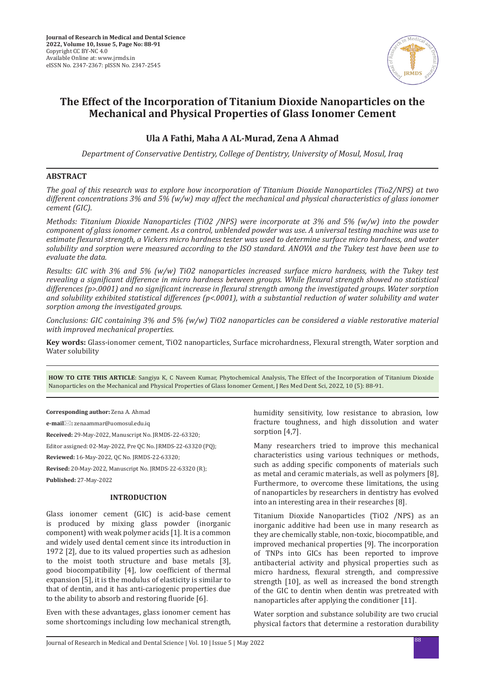

# **The Effect of the Incorporation of Titanium Dioxide Nanoparticles on the Mechanical and Physical Properties of Glass Ionomer Cement**

## **Ula A Fathi, Maha A AL-Murad, Zena A Ahmad**

*Department of Conservative Dentistry, College of Dentistry, University of Mosul, Mosul, Iraq*

## **ABSTRACT**

*The goal of this research was to explore how incorporation of Titanium Dioxide Nanoparticles (Tio2/NPS) at two different concentrations 3% and 5% (w/w) may affect the mechanical and physical characteristics of glass ionomer cement (GIC).*

*Methods: Titanium Dioxide Nanoparticles (TiO2 /NPS) were incorporate at 3% and 5% (w/w) into the powder component of glass ionomer cement. As a control, unblended powder was use. A universal testing machine was use to estimate flexural strength, a Vickers micro hardness tester was used to determine surface micro hardness, and water solubility and sorption were measured according to the ISO standard. ANOVA and the Tukey test have been use to evaluate the data.*

*Results: GIC with 3% and 5% (w/w) TiO2 nanoparticles increased surface micro hardness, with the Tukey test revealing a significant difference in micro hardness between groups. While flexural strength showed no statistical differences (p>.0001) and no significant increase in flexural strength among the investigated groups. Water sorption and solubility exhibited statistical differences (p<.0001), with a substantial reduction of water solubility and water sorption among the investigated groups.*

*Conclusions: GIC containing 3% and 5% (w/w) TiO2 nanoparticles can be considered a viable restorative material with improved mechanical properties.*

**Key words:** Glass-ionomer cement, TiO2 nanoparticles, Surface microhardness, Flexural strength, Water sorption and Water solubility

**HOW TO CITE THIS ARTICLE**: Sangiya K, C Naveen Kumar, Phytochemical Analysis, The Effect of the Incorporation of Titanium Dioxide Nanoparticles on the Mechanical and Physical Properties of Glass Ionomer Cement, J Res Med Dent Sci, 2022, 10 (5): 88-91.

**Corresponding author:** Zena A. Ahmad

**e-mail:** zenaammar@uomosul.edu.iq

**Received:** 29-May-2022, Manuscript No. JRMDS-22-63320;

Editor assigned: 02-May-2022, Pre QC No. JRMDS-22-63320 (PQ);

**Reviewed:** 16-May-2022, QC No. JRMDS-22-63320;

**Revised:** 20-May-2022, Manuscript No. JRMDS-22-63320 (R);

**Published:** 27-May-2022

## **INTRODUCTION**

Glass ionomer cement (GIC) is acid-base cement is produced by mixing glass powder (inorganic component) with weak polymer acids [1]. It is a common and widely used dental cement since its introduction in 1972 [2], due to its valued properties such as adhesion to the moist tooth structure and base metals [3], good biocompatibility [4], low coefficient of thermal expansion [5], it is the modulus of elasticity is similar to that of dentin, and it has anti-cariogenic properties due to the ability to absorb and restoring fluoride [6].

Even with these advantages, glass ionomer cement has some shortcomings including low mechanical strength, humidity sensitivity, low resistance to abrasion, low fracture toughness, and high dissolution and water sorption [4,7].

Many researchers tried to improve this mechanical characteristics using various techniques or methods, such as adding specific components of materials such as metal and ceramic materials, as well as polymers [8], Furthermore, to overcome these limitations, the using of nanoparticles by researchers in dentistry has evolved into an interesting area in their researches [8].

Titanium Dioxide Nanoparticles (TiO2 /NPS) as an inorganic additive had been use in many research as they are chemically stable, non-toxic, biocompatible, and improved mechanical properties [9]. The incorporation of TNPs into GICs has been reported to improve antibacterial activity and physical properties such as micro hardness, flexural strength, and compressive strength [10], as well as increased the bond strength of the GIC to dentin when dentin was pretreated with nanoparticles after applying the conditioner [11].

Water sorption and substance solubility are two crucial physical factors that determine a restoration durability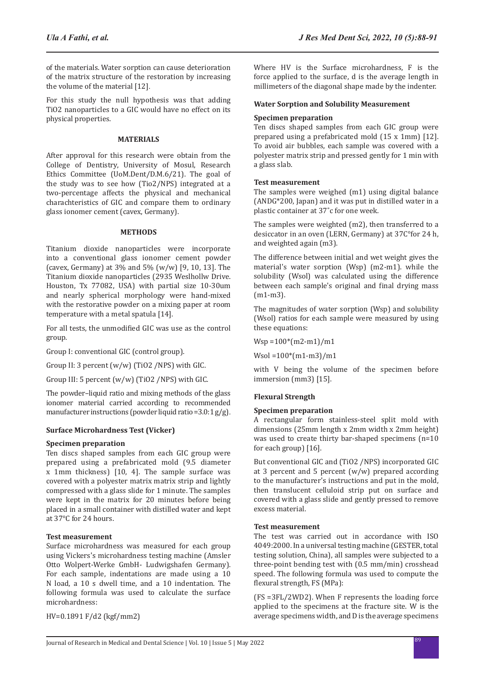of the materials. Water sorption can cause deterioration of the matrix structure of the restoration by increasing the volume of the material [12].

For this study the null hypothesis was that adding TiO2 nanoparticles to a GIC would have no effect on its physical properties.

## **MATERIALS**

After approval for this research were obtain from the College of Dentistry, University of Mosul, Research Ethics Committee (UoM.Dent/D.M.6/21). The goal of the study was to see how (Tio2/NPS) integrated at a two-percentage affects the physical and mechanical charachteristics of GIC and compare them to ordinary glass ionomer cement (cavex, Germany).

#### **METHODS**

Titanium dioxide nanoparticles were incorporate into a conventional glass ionomer cement powder (cavex, Germany) at 3% and 5% (w/w) [9, 10, 13]. The Titanium dioxide nanoparticles (2935 Weslhollw Drive. Houston, Tx 77082, USA) with partial size 10-30um and nearly spherical morphology were hand-mixed with the restorative powder on a mixing paper at room temperature with a metal spatula [14].

For all tests, the unmodified GIC was use as the control group.

Group I: conventional GIC (control group).

Group II: 3 percent (w/w) (TiO2 /NPS) with GIC.

Group III: 5 percent (w/w) (TiO2 /NPS) with GIC.

The powder–liquid ratio and mixing methods of the glass ionomer material carried according to recommended manufacturer instructions (powder liquid ratio =  $3.0:1$  g/g).

## **Surface Microhardness Test (Vicker)**

#### **Specimen preparation**

Ten discs shaped samples from each GIC group were prepared using a prefabricated mold (9.5 diameter x 1mm thickness) [10, 4]. The sample surface was covered with a polyester matrix matrix strip and lightly compressed with a glass slide for 1 minute. The samples were kept in the matrix for 20 minutes before being placed in a small container with distilled water and kept at 37°C for 24 hours.

#### **Test measurement**

Surface microhardness was measured for each group using Vickers's microhardness testing machine (Amsler Otto Wolpert-Werke GmbH- Ludwigshafen Germany). For each sample, indentations are made using a 10 N load, a 10 s dwell time, and a 10 indentation. The following formula was used to calculate the surface microhardness:

HV=0.1891 F/d2 (kgf/mm2)

Where HV is the Surface microhardness, F is the force applied to the surface, d is the average length in millimeters of the diagonal shape made by the indenter.

## **Water Sorption and Solubility Measurement**

#### **Specimen preparation**

Ten discs shaped samples from each GIC group were prepared using a prefabricated mold (15 x 1mm) [12]. To avoid air bubbles, each sample was covered with a polyester matrix strip and pressed gently for 1 min with a glass slab.

#### **Test measurement**

The samples were weighed (m1) using digital balance (ANDG\*200, Japan) and it was put in distilled water in a plastic container at 37˚c for one week.

The samples were weighted (m2), then transferred to a desiccator in an oven (LERN, Germany) at 37C°for 24 h, and weighted again (m3).

The difference between initial and wet weight gives the material's water sorption (Wsp) (m2-m1). while the solubility (Wsol) was calculated using the difference between each sample's original and final drying mass (m1-m3).

The magnitudes of water sorption (Wsp) and solubility (Wsol) ratios for each sample were measured by using these equations:

 $Wsp = 100*(m2-m1)/m1$ 

Wsol =100\*(m1-m3)/m1

with V being the volume of the specimen before immersion (mm3) [15].

## **Flexural Strength**

#### **Specimen preparation**

A rectangular form stainless-steel split mold with dimensions (25mm length x 2mm width x 2mm height) was used to create thirty bar-shaped specimens (n=10 for each group) [16].

But conventional GIC and (TiO2 /NPS) incorporated GIC at 3 percent and 5 percent (w/w) prepared according to the manufacturer's instructions and put in the mold, then translucent celluloid strip put on surface and covered with a glass slide and gently pressed to remove excess material.

#### **Test measurement**

The test was carried out in accordance with ISO 4049:2000. In a universal testing machine (GESTER, total testing solution, China), all samples were subjected to a three-point bending test with (0.5 mm/min) crosshead speed. The following formula was used to compute the flexural strength, FS (MPa):

(FS =3FL/2WD2). When F represents the loading force applied to the specimens at the fracture site. W is the average specimens width, and D is the average specimens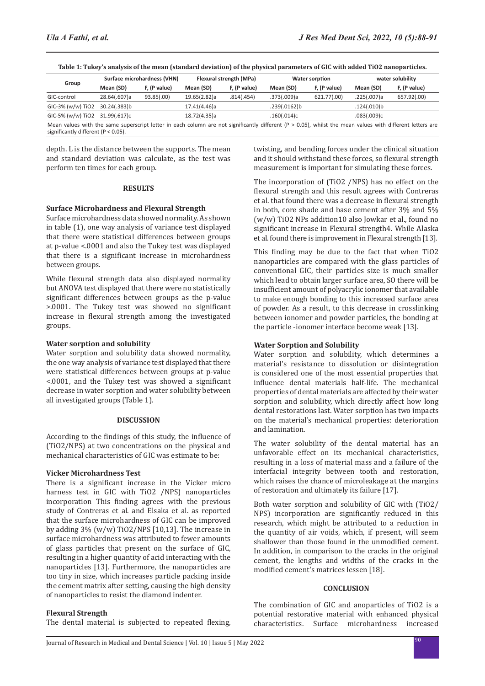| Group                                                                                                                                                                                                    | Surface microhardness (VHN) |              | Flexural strength (MPa) |              | <b>Water sorption</b> |              | water solubility |              |  |
|----------------------------------------------------------------------------------------------------------------------------------------------------------------------------------------------------------|-----------------------------|--------------|-------------------------|--------------|-----------------------|--------------|------------------|--------------|--|
|                                                                                                                                                                                                          | Mean (SD)                   | F, (P value) | Mean (SD)               | F, (P value) | Mean (SD)             | F, (P value) | Mean (SD)        | F, (P value) |  |
| GIC-control                                                                                                                                                                                              | 28.64(.607)a                | 93.85(.00)   | 19.65(2.82)a            | .814(.454)   | .373(.009)a           | 621.77(.00)  | .225(.007)a      | 657.92(.00)  |  |
| GIC-3% (w/w) TiO2 30.24(.383)b                                                                                                                                                                           |                             |              | 17.41(4.46)a            |              | .239(.0162)b          |              | .124(.010)b      |              |  |
| GIC-5% (w/w) TiO2 31.99(.617)c                                                                                                                                                                           |                             |              | 18.72(4.35)a            |              | .160(.014)c           |              | .083(.009)c      |              |  |
| Mean values with the same superscript letter in each column are not significantly different ( $P > 0.05$ ), whilst the mean values with different letters are<br>significantly different ( $P < 0.05$ ). |                             |              |                         |              |                       |              |                  |              |  |

**Table 1: Tukey's analysis of the mean (standard deviation) of the physical parameters of GIC with added TiO2 nanoparticles.**

depth. L is the distance between the supports. The mean and standard deviation was calculate, as the test was perform ten times for each group.

#### **RESULTS**

#### **Surface Microhardness and Flexural Strength**

Surface microhardness data showed normality. As shown in table (1), one way analysis of variance test displayed that there were statistical differences between groups at p-value <.0001 and also the Tukey test was displayed that there is a significant increase in microhardness between groups.

While flexural strength data also displayed normality but ANOVA test displayed that there were no statistically significant differences between groups as the p-value >.0001. The Tukey test was showed no significant increase in flexural strength among the investigated groups.

#### **Water sorption and solubility**

Water sorption and solubility data showed normality, the one way analysis of variance test displayed that there were statistical differences between groups at p-value <.0001, and the Tukey test was showed a significant decrease in water sorption and water solubility between all investigated groups (Table 1).

#### **DISCUSSION**

According to the findings of this study, the influence of (TiO2/NPS) at two concentrations on the physical and mechanical characteristics of GIC was estimate to be:

## **Vicker Microhardness Test**

There is a significant increase in the Vicker micro harness test in GIC with TiO2 /NPS) nanoparticles incorporation This finding agrees with the previous study of Contreras et al. and Elsaka et al. as reported that the surface microhardness of GIC can be improved by adding 3% (w/w) TiO2/NPS [10,13]. The increase in surface microhardness was attributed to fewer amounts of glass particles that present on the surface of GIC, resulting in a higher quantity of acid interacting with the nanoparticles [13]. Furthermore, the nanoparticles are too tiny in size, which increases particle packing inside the cement matrix after setting, causing the high density of nanoparticles to resist the diamond indenter.

## **Flexural Strength**

The dental material is subjected to repeated flexing,

twisting, and bending forces under the clinical situation and it should withstand these forces, so flexural strength measurement is important for simulating these forces.

The incorporation of (TiO2 /NPS) has no effect on the flexural strength and this result agrees with Contreras et al. that found there was a decrease in flexural strength in both, core shade and base cement after 3% and 5% (w/w) TiO2 NPs addition10 also Jowkar et al., found no significant increase in Flexural strength4. While Alaska et al. found there is improvement in Flexural strength [13].

This finding may be due to the fact that when TiO2 nanoparticles are compared with the glass particles of conventional GIC, their particles size is much smaller which lead to obtain larger surface area, SO there will be insufficient amount of polyacrylic ionomer that available to make enough bonding to this increased surface area of powder. As a result, to this decrease in crosslinking between ionomer and powder particles, the bonding at the particle -ionomer interface become weak [13].

## **Water Sorption and Solubility**

Water sorption and solubility, which determines a material's resistance to dissolution or disintegration is considered one of the most essential properties that influence dental materials half-life. The mechanical properties of dental materials are affected by their water sorption and solubility, which directly affect how long dental restorations last. Water sorption has two impacts on the material's mechanical properties: deterioration and lamination.

The water solubility of the dental material has an unfavorable effect on its mechanical characteristics, resulting in a loss of material mass and a failure of the interfacial integrity between tooth and restoration, which raises the chance of microleakage at the margins of restoration and ultimately its failure [17].

Both water sorption and solubility of GIC with (TiO2/ NPS) incorporation are significantly reduced in this research, which might be attributed to a reduction in the quantity of air voids, which, if present, will seem shallower than those found in the unmodified cement. In addition, in comparison to the cracks in the original cement, the lengths and widths of the cracks in the modified cement's matrices lessen [18].

## **CONCLUSION**

The combination of GIC and anoparticles of TiO2 is a potential restorative material with enhanced physical Surface microhardness increased